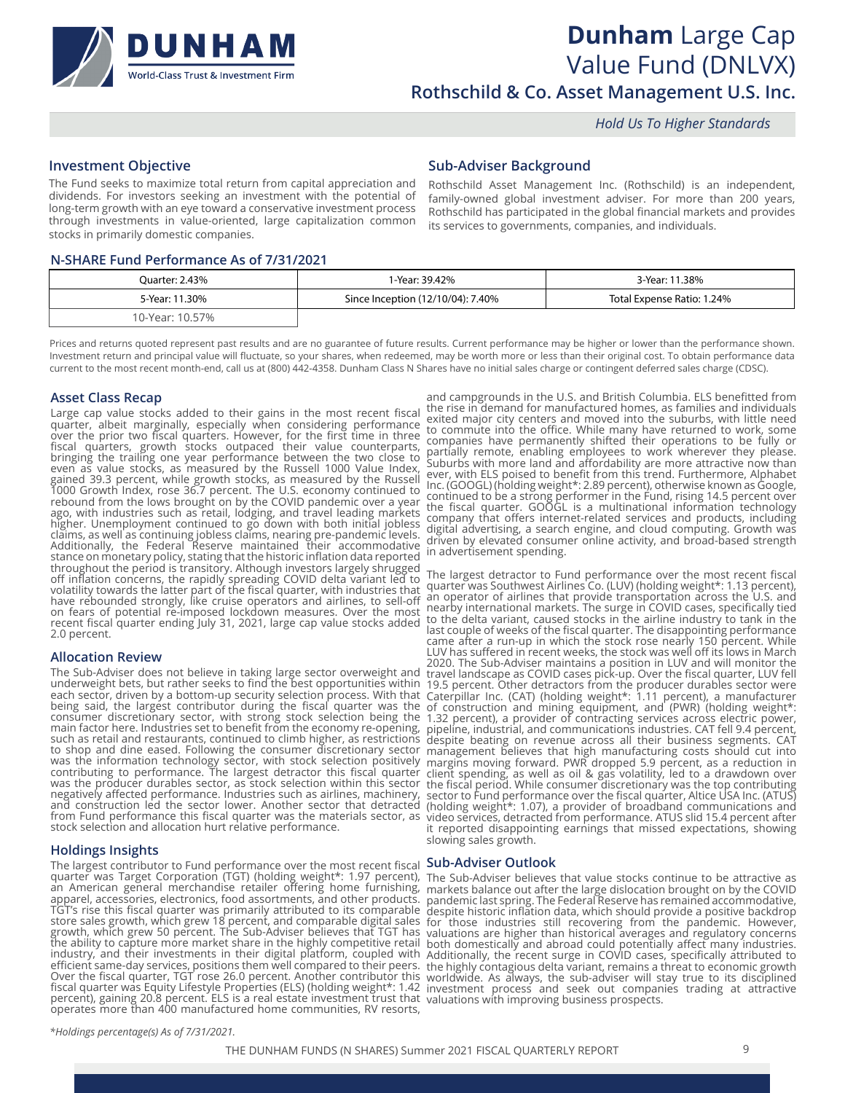

## **Dunham** Large Cap Value Fund (DNLVX) **Rothschild & Co. Asset Management U.S. Inc.**

 *Hold Us To Higher Standards*

### **Investment Objective**

### **Sub-Adviser Background**

The Fund seeks to maximize total return from capital appreciation and dividends. For investors seeking an investment with the potential of long-term growth with an eye toward a conservative investment process through investments in value-oriented, large capitalization common stocks in primarily domestic companies.

Rothschild Asset Management Inc. (Rothschild) is an independent, family-owned global investment adviser. For more than 200 years, Rothschild has participated in the global financial markets and provides its services to governments, companies, and individuals.

### **N-SHARE Fund Performance As of 7/31/2021**

| Ouarter: 2.43%  | l-Year: 39.42%                    | 3-Year: 11.38%             |
|-----------------|-----------------------------------|----------------------------|
| 5-Year: 11.30%  | Since Inception (12/10/04): 7.40% | Total Expense Ratio: 1.24% |
| 10-Year: 10.57% |                                   |                            |

Prices and returns quoted represent past results and are no guarantee of future results. Current performance may be higher or lower than the performance shown. Investment return and principal value will fluctuate, so your shares, when redeemed, may be worth more or less than their original cost. To obtain performance data current to the most recent month-end, call us at (800) 442-4358. Dunham Class N Shares have no initial sales charge or contingent deferred sales charge (CDSC).

### **Asset Class Recap**

Large cap value stocks added to their gains in the most recent fiscal quarter, albeit marginally, especially when considering performance over the prior two fiscal quarters. However, for the first time in three fiscal quarters, growth stocks outpaced their value counterparts, bringing the trailing one year performance between the two close to even as value stocks, as measured by the Russell 1000 Value Index, gained 39.3 percent, while growth stocks, as measured by the Russell 1000 Growth Index, rose 36.7 percent. The U.S. economy continued to rebound from the lows brought on by the COVID pandemic over a year ago, with industries such as retail, lodging, and travel leading markets higher. Unemployment continued to go down with both initial jobless claims, as well as continuing jobless claims, nearing pre-pandemic levels. Additionally, the Federal Reserve maintained their accommodative stance on monetary policy, stating that the historic inflation data reported throughout the period is transitory. Although investors largely shrugged off inflation concerns, the rapidly spreading COVID delta variant led to volatility towards the latter part of the fiscal quarter, with industries that have rebounded strongly, like cruise operators and airlines, to sell-off on fears of potential re-imposed lockdown measures. Over the most recent fiscal quarter ending July 31, 2021, large cap value stocks added 2.0 percent.

### **Allocation Review**

The Sub-Adviser does not believe in taking large sector overweight and underweight bets, but rather seeks to find the best opportunities within each sector, driven by a bottom-up security selection process. With that being said, the largest contributor during the fiscal quarter was the consumer discretionary sector, with strong stock selection being the main factor here. Industries set to benefit from the economy re-opening, such as retail and restaurants, continued to climb higher, as restrictions to shop and dine eased. Following the consumer discretionary sector was the information technology sector, with stock selection positively contributing to performance. The largest detractor this fiscal quarter was the producer durables sector, as stock selection within this sector negatively affected performance. Industries such as airlines, machinery, and construction led the sector lower. Another sector that detracted from Fund performance this fiscal quarter was the materials sector, as stock selection and allocation hurt relative performance.

### **Holdings Insights**

The largest contributor to Fund performance over the most recent fiscal **Sub-Adviser Outlook** quarter was Target Corporation (TGT) (holding weight\*: 1.97 percent), an American general merchandise retailer offering home furnishing, apparel, accessories, electronics, food assortments, and other products. TGT's rise this fiscal quarter was primarily attributed to its comparable store sales growth, which grew 18 percent, and comparable digital sales growth, which grew 50 percent. The Sub-Adviser believes that TGT has the ability to capture more market share in the highly competitive retail industry, and their investments in their digital platform, coupled with efficient same-day services, positions them well compared to their peers. Over the fiscal quarter, TGT rose 26.0 percent. Another contributor this fiscal quarter was Equity Lifestyle Properties (ELS) (holding weight\*: 1.42 percent), gaining 20.8 percent. ELS is a real estate investment trust that operates more than 400 manufactured home communities, RV resorts,

and campgrounds in the U.S. and British Columbia. ELS benefitted from the rise in demand for manufactured homes, as families and individuals exited major city centers and moved into the suburbs, with little need to commute into the office. While many have returned to work, some companies have permanently shifted their operations to be fully or partially remote, enabling employees to work wherever they please. Suburbs with more land and affordability are more attractive now than ever, with ELS poised to benefit from this trend. Furthermore, Alphabet Inc. (GOOGL) (holding weight\*: 2.89 percent), otherwise known as Google, continued to be a strong performer in the Fund, rising 14.5 percent over the fiscal quarter. GOOGL is a multinational information technology company that offers internet-related services and products, including digital advertising, a search engine, and cloud computing. Growth was driven by elevated consumer online activity, and broad-based strength in advertisement spending.

The largest detractor to Fund performance over the most recent fiscal quarter was Southwest Airlines Co. (LUV) (holding weight\*: 1.13 percent), an operator of airlines that provide transportation across the U.S. and nearby international markets. The surge in COVID cases, specifically tied to the delta variant, caused stocks in the airline industry to tank in the last couple of weeks of the fiscal quarter. The disappointing performance<br>came after a run-up in which the stock rose nearly 150 percent. While came after a run-up in which the stock rose nearly 150 percent. While LUV has suffered in recent weeks, the stock was well off its lows in March 2020. The Sub-Adviser maintains a position in LUV and will monitor the travel landscape as COVID cases pick-up. Over the fiscal quarter, LUV fell 19.5 percent. Other detractors from the producer durables sector were Caterpillar Inc. (CAT) (holding weight\*: 1.11 percent), a manufacturer of construction and mining equipment, and (PWR) (holding weight\*: 1.32 percent), a provider of contracting services across electric power, pipeline, industrial, and communications industries. CAT fell 9.4 percent, despite beating on revenue across all their business segments. CAT management believes that high manufacturing costs should cut into margins moving forward. PWR dropped 5.9 percent, as a reduction in client spending, as well as oil & gas volatility, led to a drawdown over the fiscal period. While consumer discretionary was the top contributing sector to Fund performance over the fiscal quarter, Altice USA Inc. (ATUS) (holding weight\*: 1.07), a provider of broadband communications and video services, detracted from performance. ATUS slid 15.4 percent after it reported disappointing earnings that missed expectations, showing slowing sales growth.

The Sub-Adviser believes that value stocks continue to be attractive as markets balance out after the large dislocation brought on by the COVID pandemic last spring. The Federal Reserve has remained accommodative, despite historic inflation data, which should provide a positive backdrop for those industries still recovering from the pandemic. However, valuations are higher than historical averages and regulatory concerns both domestically and abroad could potentially affect many industries. Additionally, the recent surge in COVID cases, specifically attributed to the highly contagious delta variant, remains a threat to economic growth worldwide. As always, the sub-adviser will stay true to its disciplined investment process and seek out companies trading at attractive valuations with improving business prospects.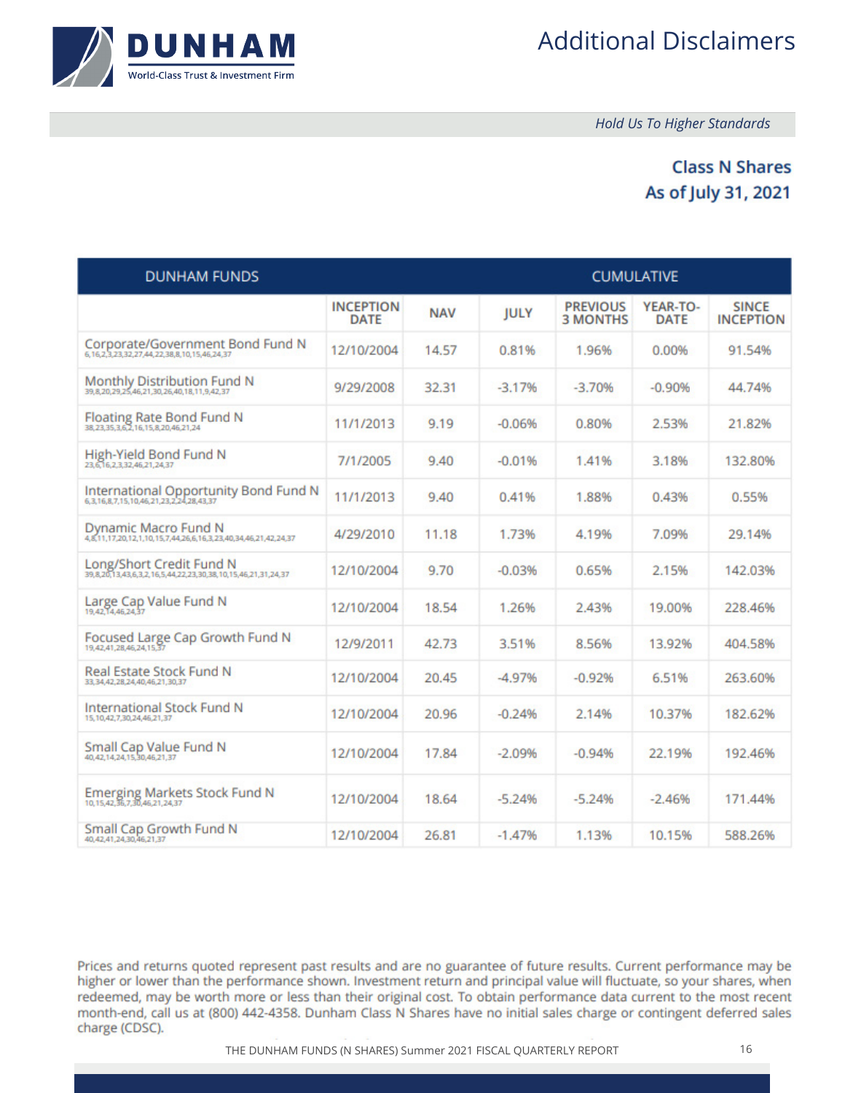

 *Hold Us To Higher Standards*

### **Class N Shares** As of July 31, 2021

| <b>DUNHAM FUNDS</b>                                                                      |                                 |            | <b>CUMULATIVE</b> |                                    |                         |                                  |
|------------------------------------------------------------------------------------------|---------------------------------|------------|-------------------|------------------------------------|-------------------------|----------------------------------|
|                                                                                          | <b>INCEPTION</b><br><b>DATE</b> | <b>NAV</b> | <b>JULY</b>       | <b>PREVIOUS</b><br><b>3 MONTHS</b> | YEAR-TO-<br><b>DATE</b> | <b>SINCE</b><br><b>INCEPTION</b> |
| Corporate/Government Bond Fund N<br>6.16.2.3.23.32.27.44.22.38.8.10.15.46.24.37          | 12/10/2004                      | 14.57      | 0.81%             | 1.96%                              | 0.00%                   | 91.54%                           |
| Monthly Distribution Fund N<br>39,8,20,29,25,46,21,30,26,40,18,11,9,42,37                | 9/29/2008                       | 32.31      | $-3.17%$          | $-3.70%$                           | $-0.90%$                | 44.74%                           |
| Floating Rate Bond Fund N<br>38,23,35,3,6,2,16,15,8,20,46,21,24                          | 11/1/2013                       | 9.19       | $-0.06%$          | 0.80%                              | 2.53%                   | 21.82%                           |
| High-Yield Bond Fund N<br>23.6.16.2.3.32,46.21,24.37                                     | 7/1/2005                        | 9.40       | $-0.01%$          | 1.41%                              | 3.18%                   | 132.80%                          |
| International Opportunity Bond Fund N<br>6.3.16.8.7.15.10.46.21.23.2.24.28.43.37         | 11/1/2013                       | 9.40       | 0.41%             | 1.88%                              | 0.43%                   | 0.55%                            |
| Dynamic Macro Fund N<br>4,8,11,17,20,12,1,10,15,7,44,26,6,16,3,23,40,34,46,21,42,24,37   | 4/29/2010                       | 11.18      | 1.73%             | 4.19%                              | 7.09%                   | 29.14%                           |
| Long/Short Credit Fund N<br>39,8,20,13,43,6,3,2,16,5,44,22,23,30,38,10,15,46,21,31,24,37 | 12/10/2004                      | 9.70       | $-0.03%$          | 0.65%                              | 2.15%                   | 142.03%                          |
| Large Cap Value Fund N<br>19,42,14,46,24,37                                              | 12/10/2004                      | 18.54      | 1.26%             | 2.43%                              | 19.00%                  | 228.46%                          |
| Focused Large Cap Growth Fund N                                                          | 12/9/2011                       | 42.73      | 3.51%             | 8.56%                              | 13.92%                  | 404.58%                          |
| Real Estate Stock Fund N<br>33, 34, 42, 28, 24, 40, 46, 21, 30, 37                       | 12/10/2004                      | 20.45      | $-4.97%$          | $-0.92%$                           | 6.51%                   | 263.60%                          |
| <b>International Stock Fund N</b><br>15, 10, 42, 7, 30, 24, 46, 21, 37                   | 12/10/2004                      | 20.96      | $-0.24%$          | 2.14%                              | 10.37%                  | 182.62%                          |
| Small Cap Value Fund N<br>40.42.14.24.15.30.46.21.37                                     | 12/10/2004                      | 17.84      | $-2.09%$          | $-0.94%$                           | 22.19%                  | 192.46%                          |
| Emerging Markets Stock Fund N<br>10, 15, 42, 36, 7, 30, 46, 21, 24, 37                   | 12/10/2004                      | 18.64      | $-5.24%$          | $-5.24%$                           | $-2.46%$                | 171.44%                          |
| Small Cap Growth Fund N<br>40.42.41.24.30.46.21.37                                       | 12/10/2004                      | 26.81      | $-1.47%$          | 1.13%                              | 10.15%                  | 588.26%                          |

Prices and returns quoted represent past results and are no guarantee of future results. Current performance may be higher or lower than the performance shown. Investment return and principal value will fluctuate, so your shares, when redeemed, may be worth more or less than their original cost. To obtain performance data current to the most recent month-end, call us at (800) 442-4358. Dunham Class N Shares have no initial sales charge or contingent deferred sales charge (CDSC).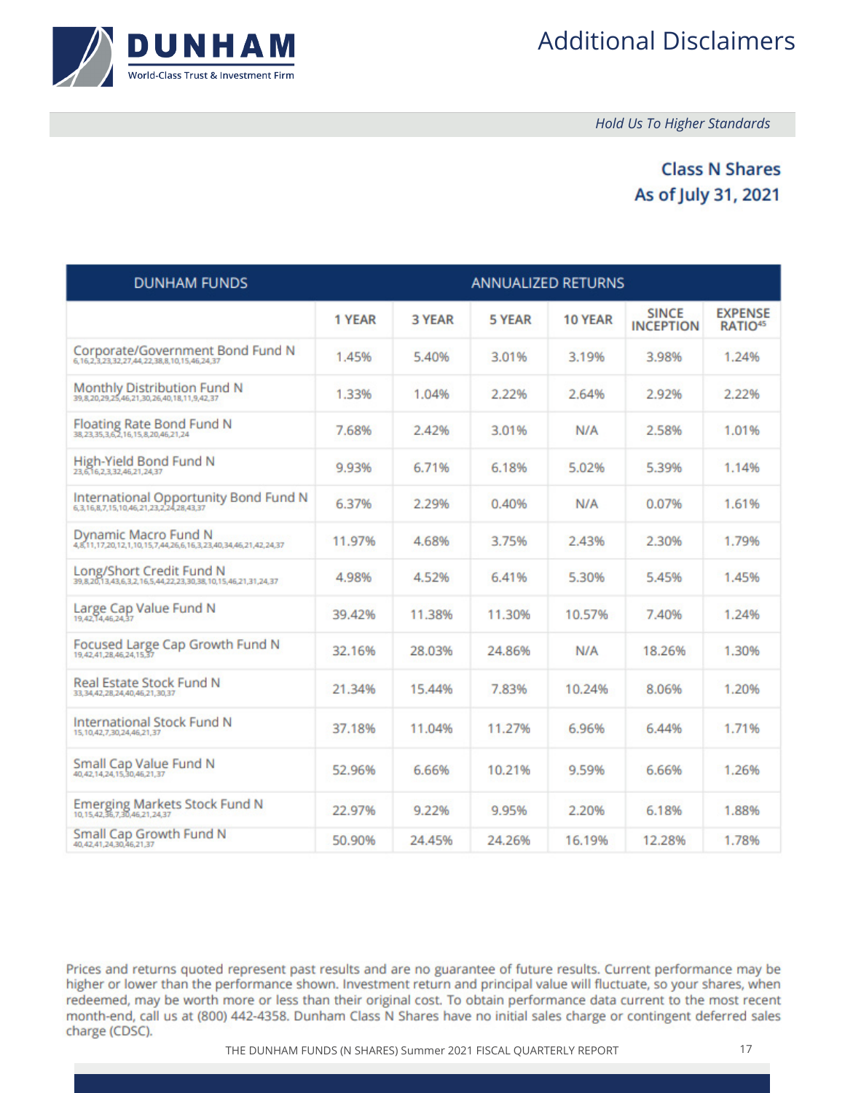

 *Hold Us To Higher Standards*

### **Class N Shares** As of July 31, 2021

| <b>DUNHAM FUNDS</b>                                                                      |        |        | <b>ANNUALIZED RETURNS</b> |         |                                  |                                       |
|------------------------------------------------------------------------------------------|--------|--------|---------------------------|---------|----------------------------------|---------------------------------------|
|                                                                                          | 1 YEAR | 3 YEAR | 5 YEAR                    | 10 YEAR | <b>SINCE</b><br><b>INCEPTION</b> | <b>EXPENSE</b><br>RATIO <sup>45</sup> |
| Corporate/Government Bond Fund N<br>6,16,2,3,23,32,27,44,22,38,8,10,15,46,24,37          | 1.45%  | 5.40%  | 3.01%                     | 3.19%   | 3.98%                            | 1.24%                                 |
| Monthly Distribution Fund N<br>39,8,20,29,25,46,21,30,26,40,18,11,9,42,37                | 1.33%  | 1.04%  | 2.22%                     | 2.64%   | 2.92%                            | 2.22%                                 |
| Floating Rate Bond Fund N<br>38,23,35,3,6,2,16,15,8,20,46,21,24                          | 7.68%  | 2.42%  | 3.01%                     | N/A     | 2.58%                            | 1.01%                                 |
| High-Yield Bond Fund N<br>23,6,16,2,3,32,46,21,24,37                                     | 9.93%  | 6.71%  | 6.18%                     | 5.02%   | 5.39%                            | 1.14%                                 |
| International Opportunity Bond Fund N<br>6.3.16.8.7.15.10.46.21,23,2,24,28,43,37         | 6.37%  | 2.29%  | 0.40%                     | N/A     | 0.07%                            | 1.61%                                 |
| Dynamic Macro Fund N<br>4,8,11,17,20,12,1,10,15,7,44,26,6,16,3,23,40,34,46,21,42,24,37   | 11.97% | 4.68%  | 3.75%                     | 2.43%   | 2.30%                            | 1.79%                                 |
| Long/Short Credit Fund N<br>39,8,20,13,43,6,3,2,16,5,44,22,23,30,38,10,15,46,21,31,24,37 | 4.98%  | 4.52%  | 6.41%                     | 5.30%   | 5.45%                            | 1.45%                                 |
| Large Cap Value Fund N<br>19,42,14,46,24,37                                              | 39.42% | 11.38% | 11.30%                    | 10.57%  | 7.40%                            | 1.24%                                 |
| Focused Large Cap Growth Fund N<br>19,42,41,28,46,24,15,37                               | 32.16% | 28.03% | 24.86%                    | N/A     | 18.26%                           | 1.30%                                 |
| Real Estate Stock Fund N<br>33.34.42.28.24.40.46.21.30.37                                | 21.34% | 15.44% | 7.83%                     | 10.24%  | 8.06%                            | 1.20%                                 |
| <b>International Stock Fund N</b><br>15, 10, 42, 7, 30, 24, 46, 21, 37                   | 37.18% | 11.04% | 11.27%                    | 6.96%   | 6.44%                            | 1.71%                                 |
| Small Cap Value Fund N<br>40,42,14,24,15,30,46,21,37                                     | 52.96% | 6.66%  | 10.21%                    | 9.59%   | 6.66%                            | 1.26%                                 |
| Emerging Markets Stock Fund N<br>10, 15, 42, 36, 7, 30, 46, 21, 24, 37                   | 22.97% | 9.22%  | 9.95%                     | 2.20%   | 6.18%                            | 1.88%                                 |
| <b>Small Cap Growth Fund N</b><br>40, 42, 41, 24, 30, 46, 21, 37                         | 50.90% | 24.45% | 24.26%                    | 16.19%  | 12.28%                           | 1.78%                                 |

Prices and returns quoted represent past results and are no guarantee of future results. Current performance may be higher or lower than the performance shown. Investment return and principal value will fluctuate, so your shares, when redeemed, may be worth more or less than their original cost. To obtain performance data current to the most recent month-end, call us at (800) 442-4358. Dunham Class N Shares have no initial sales charge or contingent deferred sales charge (CDSC).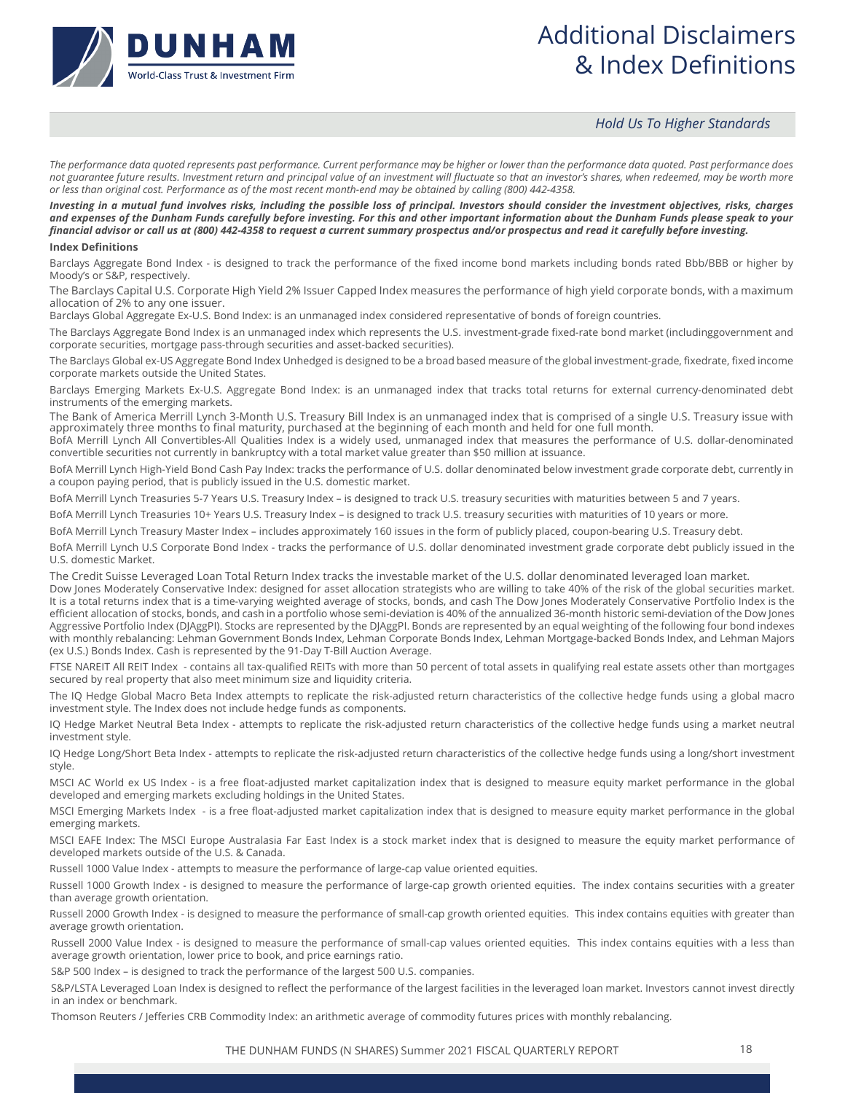

## Additional Disclaimers & Index Definitions

### *Hold Us To Higher Standards*

*The performance data quoted represents past performance. Current performance may be higher or lower than the performance data quoted. Past performance does not guarantee future results. Investment return and principal value of an investment will fluctuate so that an investor's shares, when redeemed, may be worth more or less than original cost. Performance as of the most recent month-end may be obtained by calling (800) 442-4358.*

*Investing in a mutual fund involves risks, including the possible loss of principal. Investors should consider the investment objectives, risks, charges and expenses of the Dunham Funds carefully before investing. For this and other important information about the Dunham Funds please speak to your financial advisor or call us at (800) 442-4358 to request a current summary prospectus and/or prospectus and read it carefully before investing.* **Index Definitions**

Barclays Aggregate Bond Index - is designed to track the performance of the fixed income bond markets including bonds rated Bbb/BBB or higher by Moody's or S&P, respectively.

The Barclays Capital U.S. Corporate High Yield 2% Issuer Capped Index measures the performance of high yield corporate bonds, with a maximum allocation of 2% to any one issuer.

Barclays Global Aggregate Ex-U.S. Bond Index: is an unmanaged index considered representative of bonds of foreign countries.

The Barclays Aggregate Bond Index is an unmanaged index which represents the U.S. investment-grade fixed-rate bond market (includinggovernment and corporate securities, mortgage pass-through securities and asset-backed securities).

The Barclays Global ex-US Aggregate Bond Index Unhedged is designed to be a broad based measure of the global investment-grade, fixedrate, fixed income corporate markets outside the United States.

Barclays Emerging Markets Ex-U.S. Aggregate Bond Index: is an unmanaged index that tracks total returns for external currency-denominated debt instruments of the emerging markets.

The Bank of America Merrill Lynch 3-Month U.S. Treasury Bill Index is an unmanaged index that is comprised of a single U.S. Treasury issue with approximately three months to final maturity, purchased at the beginning of each month and held for one full month.

BofA Merrill Lynch All Convertibles-All Qualities Index is a widely used, unmanaged index that measures the performance of U.S. dollar-denominated convertible securities not currently in bankruptcy with a total market value greater than \$50 million at issuance.

BofA Merrill Lynch High-Yield Bond Cash Pay Index: tracks the performance of U.S. dollar denominated below investment grade corporate debt, currently in a coupon paying period, that is publicly issued in the U.S. domestic market.

BofA Merrill Lynch Treasuries 5-7 Years U.S. Treasury Index – is designed to track U.S. treasury securities with maturities between 5 and 7 years.

BofA Merrill Lynch Treasuries 10+ Years U.S. Treasury Index – is designed to track U.S. treasury securities with maturities of 10 years or more.

BofA Merrill Lynch Treasury Master Index – includes approximately 160 issues in the form of publicly placed, coupon-bearing U.S. Treasury debt.

BofA Merrill Lynch U.S Corporate Bond Index - tracks the performance of U.S. dollar denominated investment grade corporate debt publicly issued in the U.S. domestic Market.

The Credit Suisse Leveraged Loan Total Return Index tracks the investable market of the U.S. dollar denominated leveraged loan market.

Dow Jones Moderately Conservative Index: designed for asset allocation strategists who are willing to take 40% of the risk of the global securities market. It is a total returns index that is a time-varying weighted average of stocks, bonds, and cash The Dow Jones Moderately Conservative Portfolio Index is the efficient allocation of stocks, bonds, and cash in a portfolio whose semi-deviation is 40% of the annualized 36-month historic semi-deviation of the Dow Jones Aggressive Portfolio Index (DJAggPI). Stocks are represented by the DJAggPI. Bonds are represented by an equal weighting of the following four bond indexes with monthly rebalancing: Lehman Government Bonds Index, Lehman Corporate Bonds Index, Lehman Mortgage-backed Bonds Index, and Lehman Majors (ex U.S.) Bonds Index. Cash is represented by the 91-Day T-Bill Auction Average.

FTSE NAREIT All REIT Index - contains all tax-qualified REITs with more than 50 percent of total assets in qualifying real estate assets other than mortgages secured by real property that also meet minimum size and liquidity criteria.

The IQ Hedge Global Macro Beta Index attempts to replicate the risk-adjusted return characteristics of the collective hedge funds using a global macro investment style. The Index does not include hedge funds as components.

IQ Hedge Market Neutral Beta Index - attempts to replicate the risk-adjusted return characteristics of the collective hedge funds using a market neutral investment style.

IQ Hedge Long/Short Beta Index - attempts to replicate the risk-adjusted return characteristics of the collective hedge funds using a long/short investment style.

MSCI AC World ex US Index - is a free float-adjusted market capitalization index that is designed to measure equity market performance in the global developed and emerging markets excluding holdings in the United States.

MSCI Emerging Markets Index - is a free float-adjusted market capitalization index that is designed to measure equity market performance in the global emerging markets.

MSCI EAFE Index: The MSCI Europe Australasia Far East Index is a stock market index that is designed to measure the equity market performance of developed markets outside of the U.S. & Canada.

Russell 1000 Value Index - attempts to measure the performance of large-cap value oriented equities.

Russell 1000 Growth Index - is designed to measure the performance of large-cap growth oriented equities. The index contains securities with a greater than average growth orientation.

Russell 2000 Growth Index - is designed to measure the performance of small-cap growth oriented equities. This index contains equities with greater than average growth orientation.

Russell 2000 Value Index - is designed to measure the performance of small-cap values oriented equities. This index contains equities with a less than average growth orientation, lower price to book, and price earnings ratio.

S&P 500 Index – is designed to track the performance of the largest 500 U.S. companies.

S&P/LSTA Leveraged Loan Index is designed to reflect the performance of the largest facilities in the leveraged loan market. Investors cannot invest directly in an index or benchmark.

Thomson Reuters / Jefferies CRB Commodity Index: an arithmetic average of commodity futures prices with monthly rebalancing.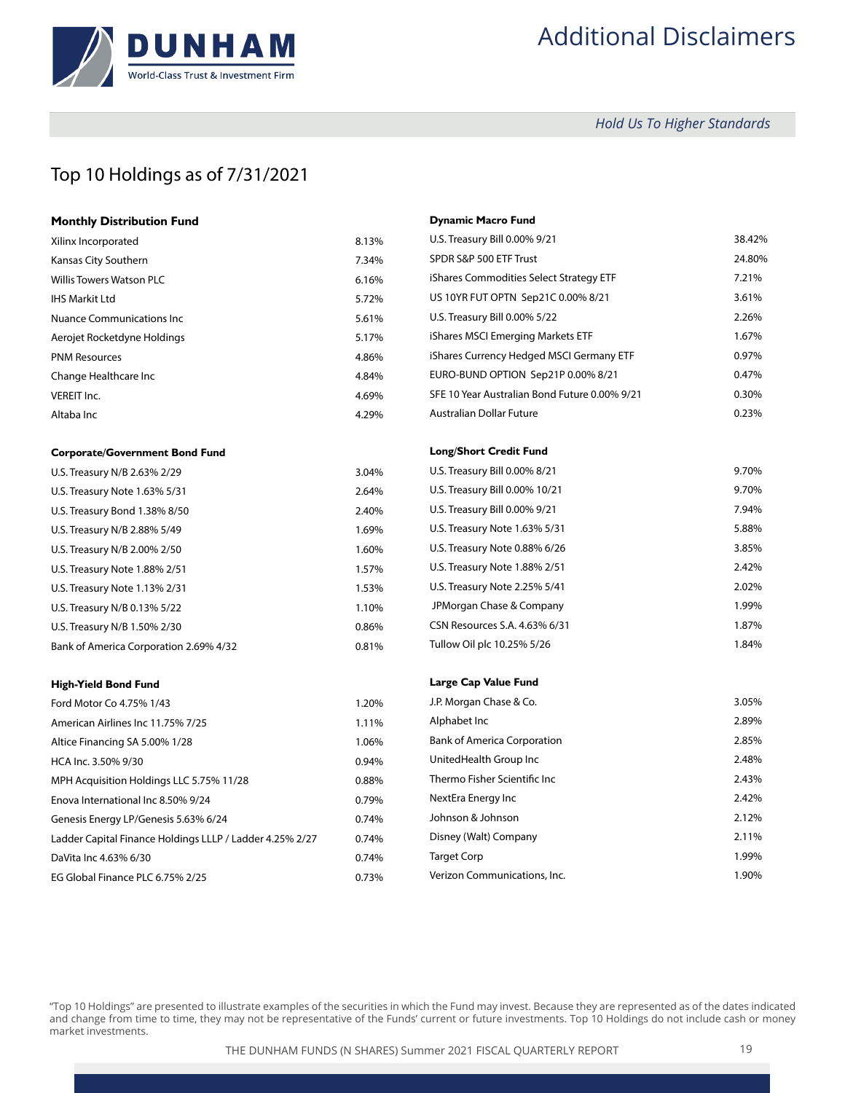

# Additional Disclaimers

 *Hold Us To Higher Standards*

### Top 10 Holdings as of 7/31/2021

| <b>Monthly Distribution Fund</b> |       |
|----------------------------------|-------|
| Xilinx Incorporated              | 8.13% |
| Kansas City Southern             | 7.34% |
| <b>Willis Towers Watson PLC</b>  | 6.16% |
| <b>IHS Markit Ltd</b>            | 5.72% |
| Nuance Communications Inc.       | 5.61% |
| Aerojet Rocketdyne Holdings      | 5.17% |
| <b>PNM Resources</b>             | 4.86% |
| Change Healthcare Inc            | 4.84% |
| VEREIT Inc.                      | 4.69% |
| Altaba Inc                       | 4.29% |

#### **Corporate/Government Bond Fund**

| U.S. Treasury N/B 2.63% 2/29           | 3.04% |
|----------------------------------------|-------|
| U.S. Treasury Note 1.63% 5/31          | 2.64% |
| U.S. Treasury Bond 1.38% 8/50          | 2.40% |
| U.S. Treasury N/B 2.88% 5/49           | 1.69% |
| U.S. Treasury N/B 2.00% 2/50           | 1.60% |
| U.S. Treasury Note 1.88% 2/51          | 1.57% |
| U.S. Treasury Note 1.13% 2/31          | 1.53% |
| U.S. Treasury N/B 0.13% 5/22           | 1.10% |
| U.S. Treasury N/B 1.50% 2/30           | 0.86% |
| Bank of America Corporation 2.69% 4/32 | 0.81% |

#### **High-Yield Bond Fund**

| Ford Motor Co 4.75% 1/43                                 | 1.20% |
|----------------------------------------------------------|-------|
| American Airlines Inc 11.75% 7/25                        | 1.11% |
| Altice Financing SA 5.00% 1/28                           | 1.06% |
| HCA Inc. 3.50% 9/30                                      | 0.94% |
| MPH Acquisition Holdings LLC 5.75% 11/28                 | 0.88% |
| Enova International Inc 8.50% 9/24                       | 0.79% |
| Genesis Energy LP/Genesis 5.63% 6/24                     | 0.74% |
| Ladder Capital Finance Holdings LLLP / Ladder 4.25% 2/27 | 0.74% |
| DaVita Inc 4.63% 6/30                                    | 0.74% |
| EG Global Finance PLC 6.75% 2/25                         | 0.73% |

### **Dynamic Macro Fund**

| U.S. Treasury Bill 0.00% 9/21                 | 38.42% |
|-----------------------------------------------|--------|
| SPDR S&P 500 ETF Trust                        | 24.80% |
| iShares Commodities Select Strategy ETF       | 7.21%  |
| US 10YR FUT OPTN Sep21C 0.00% 8/21            | 3.61%  |
| U.S. Treasury Bill 0.00% 5/22                 | 2.26%  |
| iShares MSCI Emerging Markets ETF             | 1.67%  |
| iShares Currency Hedged MSCI Germany ETF      | 0.97%  |
| EURO-BUND OPTION Sep21P 0.00% 8/21            | 0.47%  |
| SFE 10 Year Australian Bond Future 0.00% 9/21 | 0.30%  |
| <b>Australian Dollar Future</b>               | 0.23%  |
| <b>Long/Short Credit Fund</b>                 |        |
| U.S. Treasury Bill 0.00% 8/21                 | 9.70%  |
| U.S. Treasury Bill 0.00% 10/21                | 9.70%  |
| U.S. Treasury Bill 0.00% 9/21                 | 7.94%  |
| U.S. Treasury Note 1.63% 5/31                 | 5.88%  |
| U.S. Treasury Note 0.88% 6/26                 | 3.85%  |
| U.S. Treasury Note 1.88% 2/51                 | 2.42%  |
| U.S. Treasury Note 2.25% 5/41                 | 2.02%  |
| JPMorgan Chase & Company                      | 1.99%  |
| CSN Resources S.A. 4.63% 6/31                 | 1.87%  |
| Tullow Oil plc 10.25% 5/26                    | 1.84%  |
|                                               |        |
| Large Cap Value Fund                          |        |
| J.P. Morgan Chase & Co.                       | 3.05%  |
| Alphabet Inc                                  | 2.89%  |
| <b>Bank of America Corporation</b>            | 2.85%  |
| UnitedHealth Group Inc                        | 2.48%  |
| Thermo Fisher Scientific Inc                  | 2.43%  |
| NextEra Energy Inc                            | 2.42%  |
| Johnson & Johnson                             | 2.12%  |
| Disney (Walt) Company                         | 2.11%  |
| <b>Target Corp</b>                            | 1.99%  |
| Verizon Communications, Inc.                  | 1.90%  |

"Top 10 Holdings" are presented to illustrate examples of the securities in which the Fund may invest. Because they are represented as of the dates indicated and change from time to time, they may not be representative of the Funds' current or future investments. Top 10 Holdings do not include cash or money market investments.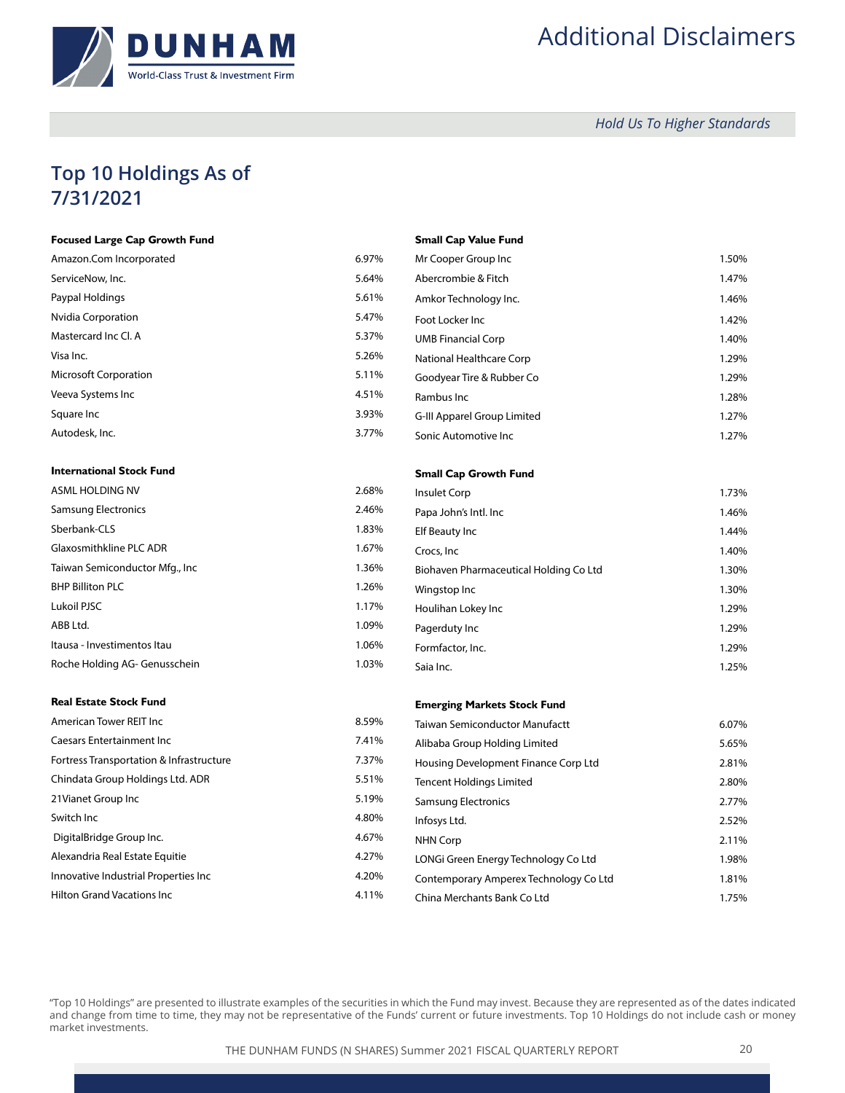

# Additional Disclaimers

 *Hold Us To Higher Standards*

## **Top 10 Holdings As of 7/31/2021**

| <b>Focused Large Cap Growth Fund</b>     |       | <b>Small Cap Value Fund</b>            |       |
|------------------------------------------|-------|----------------------------------------|-------|
| Amazon.Com Incorporated                  | 6.97% | Mr Cooper Group Inc                    | 1.50% |
| ServiceNow, Inc.                         | 5.64% | Abercrombie & Fitch                    | 1.47% |
| Paypal Holdings                          | 5.61% | Amkor Technology Inc.                  | 1.46% |
| Nvidia Corporation                       | 5.47% | Foot Locker Inc                        | 1.42% |
| Mastercard Inc Cl. A                     | 5.37% | <b>UMB Financial Corp</b>              | 1.40% |
| Visa Inc.                                | 5.26% | National Healthcare Corp               | 1.29% |
| <b>Microsoft Corporation</b>             | 5.11% | Goodyear Tire & Rubber Co              | 1.29% |
| Veeva Systems Inc                        | 4.51% | Rambus Inc                             | 1.28% |
| Square Inc                               | 3.93% | G-III Apparel Group Limited            | 1.27% |
| Autodesk, Inc.                           | 3.77% | Sonic Automotive Inc                   | 1.27% |
| <b>International Stock Fund</b>          |       | <b>Small Cap Growth Fund</b>           |       |
| <b>ASML HOLDING NV</b>                   | 2.68% | Insulet Corp                           | 1.73% |
| <b>Samsung Electronics</b>               | 2.46% | Papa John's Intl. Inc                  | 1.46% |
| Sberbank-CLS                             | 1.83% | Elf Beauty Inc                         | 1.44% |
| Glaxosmithkline PLC ADR                  | 1.67% | Crocs, Inc.                            | 1.40% |
| Taiwan Semiconductor Mfg., Inc           | 1.36% | Biohaven Pharmaceutical Holding Co Ltd | 1.30% |
| <b>BHP Billiton PLC</b>                  | 1.26% | Wingstop Inc                           | 1.30% |
| Lukoil PJSC                              | 1.17% | Houlihan Lokey Inc                     | 1.29% |
| ABB Ltd.                                 | 1.09% | Pagerduty Inc                          | 1.29% |
| Itausa - Investimentos Itau              | 1.06% | Formfactor, Inc.                       | 1.29% |
| Roche Holding AG- Genusschein            | 1.03% | Saia Inc.                              | 1.25% |
| <b>Real Estate Stock Fund</b>            |       | <b>Emerging Markets Stock Fund</b>     |       |
| American Tower REIT Inc                  | 8.59% | <b>Taiwan Semiconductor Manufactt</b>  | 6.07% |
| <b>Caesars Entertainment Inc</b>         | 7.41% | Alibaba Group Holding Limited          | 5.65% |
| Fortress Transportation & Infrastructure | 7.37% | Housing Development Finance Corp Ltd   | 2.81% |
| Chindata Group Holdings Ltd. ADR         | 5.51% | <b>Tencent Holdings Limited</b>        | 2.80% |
| 21 Vianet Group Inc                      | 5.19% | <b>Samsung Electronics</b>             | 2.77% |
| Switch Inc                               | 4.80% | Infosys Ltd.                           | 2.52% |
| DigitalBridge Group Inc.                 | 4.67% | <b>NHN Corp</b>                        | 2.11% |
| Alexandria Real Estate Equitie           | 4.27% | LONGi Green Energy Technology Co Ltd   | 1.98% |
| Innovative Industrial Properties Inc     | 4.20% | Contemporary Amperex Technology Co Ltd | 1.81% |
| <b>Hilton Grand Vacations Inc</b>        | 4.11% | China Merchants Bank Co Ltd            | 1.75% |
|                                          |       |                                        |       |

"Top 10 Holdings" are presented to illustrate examples of the securities in which the Fund may invest. Because they are represented as of the dates indicated and change from time to time, they may not be representative of the Funds' current or future investments. Top 10 Holdings do not include cash or money market investments.